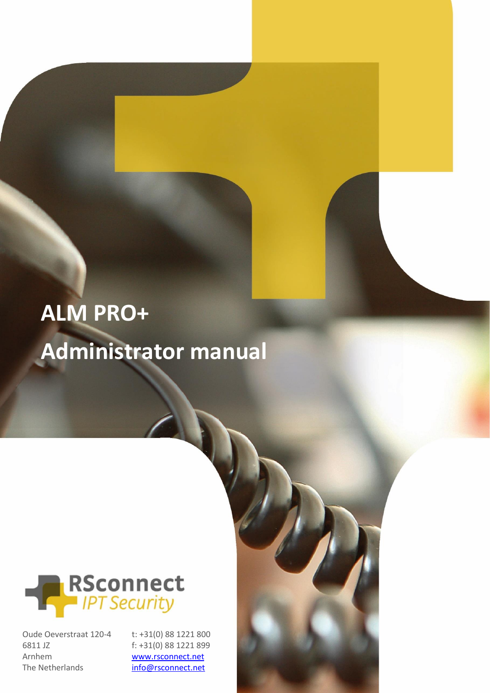# **ALM PRO+ Administrator manual**



Oude Oeverstraat 120-4 6811 JZ Arnhem The Netherlands

t: +31(0) 88 1221 800 f: +31(0) 88 1221 899 [www.rsconnect.net](http://www.rsconnect.net/) [info@rsconnect.net](mailto:info@rsconnect.net)

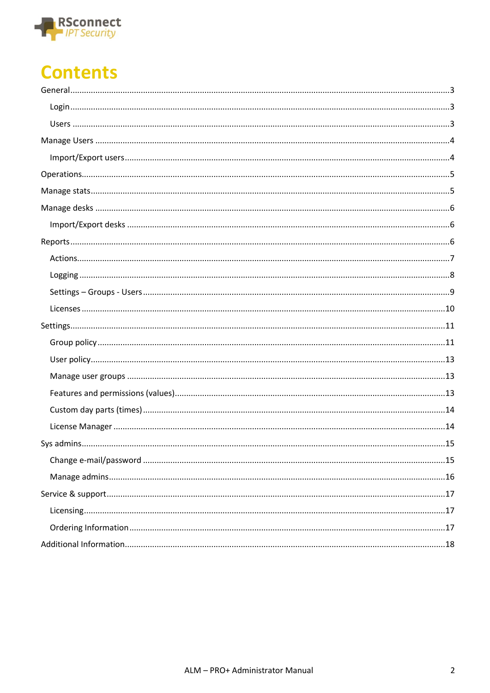

# **Contents**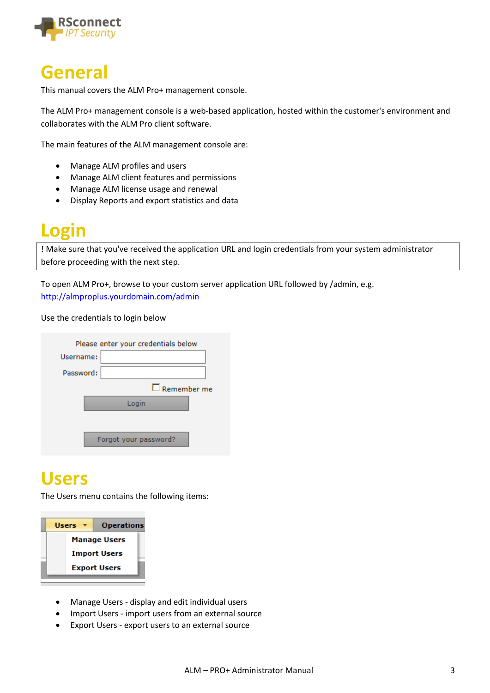

#### <span id="page-2-0"></span>**General**

This manual covers the ALM Pro+ management console.

The ALM Pro+ management console is a web-based application, hosted within the customer's environment and collaborates with the ALM Pro client software.

The main features of the ALM management console are:

- Manage ALM profiles and users
- Manage ALM client features and permissions
- Manage ALM license usage and renewal
- Display Reports and export statistics and data

### <span id="page-2-1"></span>**Login**

! Make sure that you've received the application URL and login credentials from your system administrator before proceeding with the next step.

To open ALM Pro+, browse to your custom server application URL followed by /admin, e.g. <http://almproplus.yourdomain.com/admin>

Use the credentials to login below

|           | Please enter your credentials below |  |  |  |  |
|-----------|-------------------------------------|--|--|--|--|
| Username: |                                     |  |  |  |  |
| Password: |                                     |  |  |  |  |
|           | $\square$ Remember me               |  |  |  |  |
|           | Login                               |  |  |  |  |
|           | Forgot your password?               |  |  |  |  |

#### <span id="page-2-2"></span>**Users**

The Users menu contains the following items:



- Manage Users display and edit individual users
- Import Users import users from an external source
- Export Users export users to an external source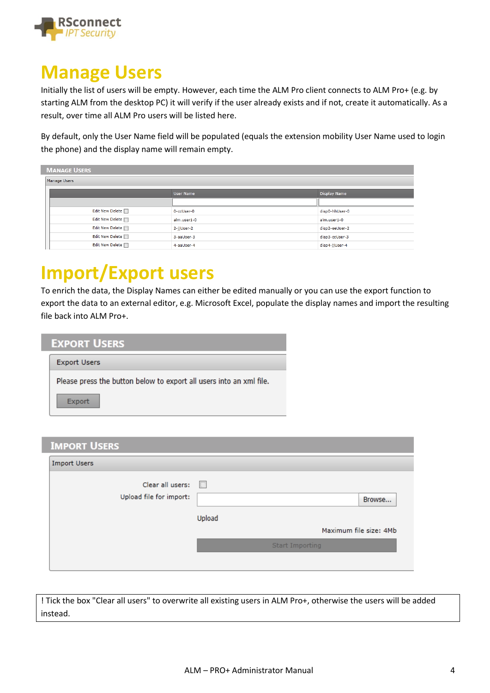

### <span id="page-3-0"></span>**Manage Users**

Initially the list of users will be empty. However, each time the ALM Pro client connects to ALM Pro+ (e.g. by starting ALM from the desktop PC) it will verify if the user already exists and if not, create it automatically. As a result, over time all ALM Pro users will be listed here.

By default, only the User Name field will be populated (equals the extension mobility User Name used to login the phone) and the display name will remain empty.

| <b>MANAGE USERS</b>    |                  |                     |
|------------------------|------------------|---------------------|
| Manage Users           |                  |                     |
|                        | <b>User Name</b> | <b>Display Name</b> |
|                        |                  |                     |
| Edit New Delete I      | 0-ccUser-0       | disp0-hhUser-0      |
| Edit New Delete I      | alm.user1-0      | alm.user1-0         |
| Edit New Delete [7]    | 2-jjUser-2       | disp2-eeUser-2      |
| Edit New Delete $\Box$ | 3-aaUser-3       | disp3-ccUser-3      |
| Edit New Delete        | 4-aaUser-4       | disp4-jjUser-4      |

# <span id="page-3-1"></span>**Import/Export users**

To enrich the data, the Display Names can either be edited manually or you can use the export function to export the data to an external editor, e.g. Microsoft Excel, populate the display names and import the resulting file back into ALM Pro+.

| <b>EXPORT USERS</b>                                                 |
|---------------------------------------------------------------------|
| <b>Export Users</b>                                                 |
| Please press the button below to export all users into an xml file. |
| <b>Export</b>                                                       |

| <b>IMPORT USERS</b>     |        |                        |
|-------------------------|--------|------------------------|
| <b>Import Users</b>     |        |                        |
| Clear all users:        | $\Box$ |                        |
| Upload file for import: |        | Browse                 |
|                         |        | Upload                 |
|                         |        | Maximum file size: 4Mb |
|                         |        | Start Importing        |
|                         |        |                        |

! Tick the box "Clear all users" to overwrite all existing users in ALM Pro+, otherwise the users will be added instead.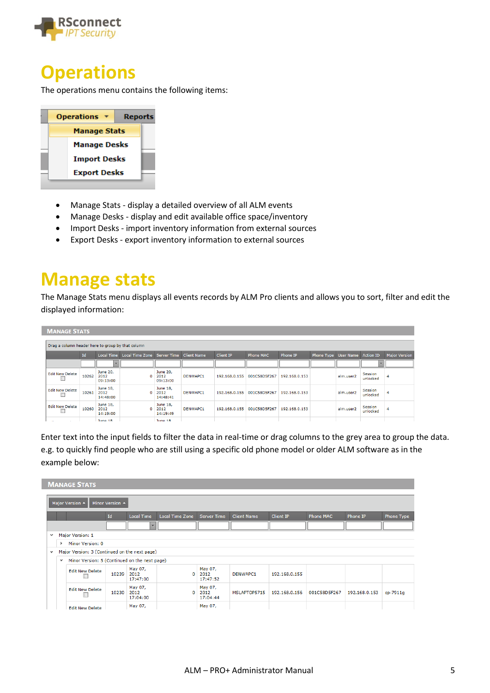

#### <span id="page-4-0"></span>**Operations**

The operations menu contains the following items:

|                     | <b>Operations</b>   | <b>Reports</b> |  |  |  |  |  |  |
|---------------------|---------------------|----------------|--|--|--|--|--|--|
|                     | <b>Manage Stats</b> |                |  |  |  |  |  |  |
|                     | <b>Manage Desks</b> |                |  |  |  |  |  |  |
|                     | <b>Import Desks</b> |                |  |  |  |  |  |  |
| <b>Export Desks</b> |                     |                |  |  |  |  |  |  |

- Manage Stats display a detailed overview of all ALM events
- Manage Desks display and edit available office space/inventory
- Import Desks import inventory information from external sources
- Export Desks export inventory information to external sources

#### <span id="page-4-1"></span>**Manage stats**

The Manage Stats menu displays all events records by ALM Pro clients and allows you to sort, filter and edit the displayed information:

| <b>MANAGE STATS</b>                               |       |                                     |                        |                              |                 |                  |                  |               |                   |           |                          |                      |
|---------------------------------------------------|-------|-------------------------------------|------------------------|------------------------------|-----------------|------------------|------------------|---------------|-------------------|-----------|--------------------------|----------------------|
|                                                   |       |                                     |                        |                              |                 |                  |                  |               |                   |           |                          |                      |
| Drag a column header here to group by that column |       |                                     |                        |                              |                 |                  |                  |               |                   |           |                          |                      |
|                                                   | Id    | <b>Local Time</b>                   | <b>Local Time Zone</b> | Server Time Client Name      |                 | <b>Client IP</b> | <b>Phone MAC</b> | Phone IP      | <b>Phone Type</b> | User Name | <b>Action ID</b>         | <b>Major Version</b> |
|                                                   |       | $\overline{\phantom{a}}$            |                        |                              |                 |                  |                  |               |                   |           | $\overline{\phantom{a}}$ |                      |
| <b>Edit New Delete</b>                            | 10262 | <b>June 20,</b><br>2012<br>09:13:00 | o                      | June 20,<br>2012<br>09:13:00 | <b>DENWAPC1</b> | 192.168.0.155    | 001C58D5F267     | 192.168.0.153 |                   | alm.user2 | Session<br>unlocked      | 4                    |
| <b>Edit New Delete</b>                            | 10261 | June 18,<br>2012<br>14:48:00        | o                      | June 18,<br>2012<br>14:48:41 | <b>DENWAPC1</b> | 192.168.0.155    | 001C58D5F267     | 192.168.0.153 |                   | alm.user2 | Session<br>unlocked      | 4                    |
| <b>Edit New Delete</b>                            | 10260 | June 18,<br>2012<br>14:19:00        | $\Omega$               | June 18,<br>2012<br>14:19:49 | <b>DENWAPC1</b> | 192.168.0.155    | 001C58D5F267     | 192.168.0.153 |                   | alm.user2 | Session<br>unlocked      | 4                    |
|                                                   |       | $3.000 - 10$                        |                        | $7.144 \pm 0.00$             |                 |                  |                  |               |                   |           |                          |                      |

Enter text into the input fields to filter the data in real-time or drag columns to the grey area to group the data. e.g. to quickly find people who are still using a specific old phone model or older ALM software as in the example below:

|              |              | <b>MANAGE STATS</b>                           |                 |                             |                        |                             |                    |                  |                  |               |            |
|--------------|--------------|-----------------------------------------------|-----------------|-----------------------------|------------------------|-----------------------------|--------------------|------------------|------------------|---------------|------------|
|              |              | Major Version ▲                               | Minor Version A |                             |                        |                             |                    |                  |                  |               |            |
|              |              |                                               | <b>Id</b>       | <b>Local Time</b>           | <b>Local Time Zone</b> | <b>Server Time</b>          | <b>Client Name</b> | <b>Client IP</b> | <b>Phone MAC</b> | Phone IP      | Phone Type |
|              |              |                                               |                 | ÷                           |                        |                             |                    |                  |                  |               |            |
| $\checkmark$ |              | Major Version: 1                              |                 |                             |                        |                             |                    |                  |                  |               |            |
|              | >            | Minor Version: 0                              |                 |                             |                        |                             |                    |                  |                  |               |            |
| $\checkmark$ |              | Major Version: 3 (Continued on the next page) |                 |                             |                        |                             |                    |                  |                  |               |            |
|              | $\checkmark$ | Minor Version: 5 (Continued on the next page) |                 |                             |                        |                             |                    |                  |                  |               |            |
|              |              | <b>Edit New Delete</b>                        | 10239           | May 07,<br>2012<br>17:47:00 | $\Omega$               | May 07,<br>2012<br>17:47:52 | DENWAPC1           | 192.168.0.155    |                  |               |            |
|              |              | <b>Edit New Delete</b>                        | 10230           | May 07,<br>2012<br>17:04:00 | $\mathbf 0$            | May 07,<br>2012<br>17:04:44 | MSLAPTOP5715       | 192.168.0.156    | 001C58D5F267     | 192.168.0.153 | cp-7911q   |
|              |              | <b>Edit New Delete</b>                        |                 | May 07,                     |                        | May 07,                     |                    |                  |                  |               |            |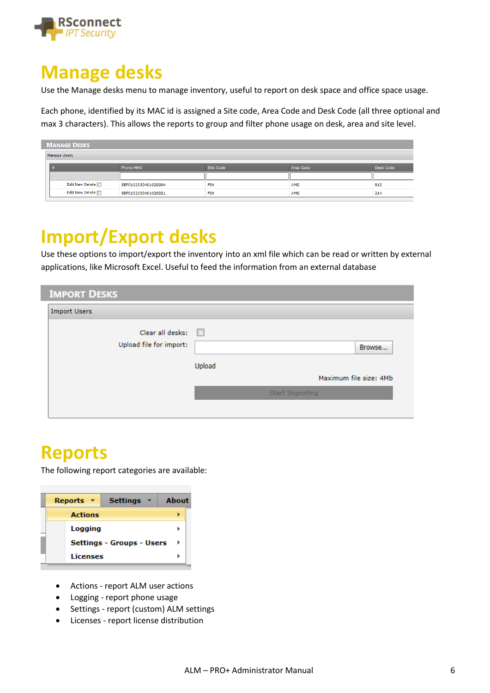

### <span id="page-5-0"></span>**Manage desks**

Use the Manage desks menu to manage inventory, useful to report on desk space and office space usage.

Each phone, identified by its MAC id is assigned a Site code, Area Code and Desk Code (all three optional and max 3 characters). This allows the reports to group and filter phone usage on desk, area and site level.

| <b>MANAGE DESKS</b> |                     |            |            |           |
|---------------------|---------------------|------------|------------|-----------|
| Manage Users        |                     |            |            |           |
| <b>#</b>            | <b>Phone MAC</b>    | Site Code  | Area Code  | Desk Code |
|                     |                     |            |            |           |
| Edit New Delete     | SEP0102030401020304 | <b>FIN</b> | <b>AMS</b> | 813       |
| Edit New Delete     | SEP0102030401020321 | <b>FIN</b> | <b>AMS</b> | 214       |

# <span id="page-5-1"></span>**Import/Export desks**

Use these options to import/export the inventory into an xml file which can be read or written by external applications, like Microsoft Excel. Useful to feed the information from an external database

| <b>IMPORT DESKS</b>     |                        |
|-------------------------|------------------------|
| <b>Import Users</b>     |                        |
| Clear all desks:        |                        |
| Upload file for import: | Browse                 |
|                         | Upload                 |
|                         | Maximum file size: 4Mb |
|                         | Start Importing        |
|                         |                        |

### <span id="page-5-2"></span>**Reports**

The following report categories are available:

| <b>Settings</b><br>Reports $\mathbf{\bar{x}}$ | About |
|-----------------------------------------------|-------|
| <b>Actions</b>                                |       |
| Logging                                       |       |
| <b>Settings - Groups - Users</b>              |       |
| <b>Licenses</b>                               |       |

- Actions report ALM user actions
- Logging report phone usage
- Settings report (custom) ALM settings
- Licenses report license distribution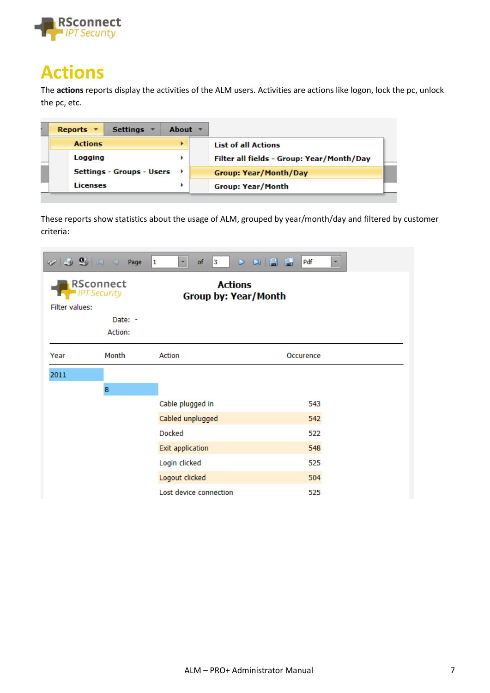

### <span id="page-6-0"></span>**Actions**

The **actions** reports display the activities of the ALM users. Activities are actions like logon, lock the pc, unlock the pc, etc.

| Reports $\tau$<br>Settings $\overline{v}$ | About $\overline{v}$ |                                           |
|-------------------------------------------|----------------------|-------------------------------------------|
| <b>Actions</b>                            |                      | <b>List of all Actions</b>                |
| Logging                                   |                      | Filter all fields - Group: Year/Month/Day |
| <b>Settings - Groups - Users</b>          |                      | <b>Group: Year/Month/Day</b>              |
| Licenses                                  |                      | <b>Group: Year/Month</b>                  |

These reports show statistics about the usage of ALM, grouped by year/month/day and filtered by customer criteria:

|                | $\mathcal{L}$ $\mathcal{L}$ $\mathcal{L}$ $\mathcal{L}$ $\mathcal{L}$ $\mathcal{L}$ $\mathcal{L}$ $\mathcal{L}$ $\mathcal{L}$ $\mathcal{L}$ $\mathcal{L}$ $\mathcal{L}$ $\mathcal{L}$ $\mathcal{L}$ $\mathcal{L}$ $\mathcal{L}$ $\mathcal{L}$ $\mathcal{L}$ $\mathcal{L}$ $\mathcal{L}$ $\mathcal{L}$ $\mathcal{L}$ $\mathcal{L}$ $\mathcal{L}$ $\mathcal{$ | <sub>of</sub><br>$\mathbf{1}$<br>$\vert$ 3<br>× | <b>D DI B B</b><br>Pdf<br>۳ |
|----------------|-------------------------------------------------------------------------------------------------------------------------------------------------------------------------------------------------------------------------------------------------------------------------------------------------------------------------------------------------------------|-------------------------------------------------|-----------------------------|
| Filter values: | <b>RSconnect</b><br><b>IPT Security</b>                                                                                                                                                                                                                                                                                                                     | <b>Actions</b><br><b>Group by: Year/Month</b>   |                             |
|                | Date: -<br>Action:                                                                                                                                                                                                                                                                                                                                          |                                                 |                             |
| Year           | Month                                                                                                                                                                                                                                                                                                                                                       | Action                                          | Occurence                   |
| 2011           |                                                                                                                                                                                                                                                                                                                                                             |                                                 |                             |
|                | 8                                                                                                                                                                                                                                                                                                                                                           |                                                 |                             |
|                |                                                                                                                                                                                                                                                                                                                                                             | Cable plugged in                                | 543                         |
|                |                                                                                                                                                                                                                                                                                                                                                             | Cabled unplugged                                | 542                         |
|                |                                                                                                                                                                                                                                                                                                                                                             | <b>Docked</b>                                   | 522                         |
|                |                                                                                                                                                                                                                                                                                                                                                             | <b>Exit application</b>                         | 548                         |
|                |                                                                                                                                                                                                                                                                                                                                                             | Login clicked                                   | 525                         |
|                |                                                                                                                                                                                                                                                                                                                                                             | Logout clicked                                  | 504                         |
|                |                                                                                                                                                                                                                                                                                                                                                             | Lost device connection                          | 525                         |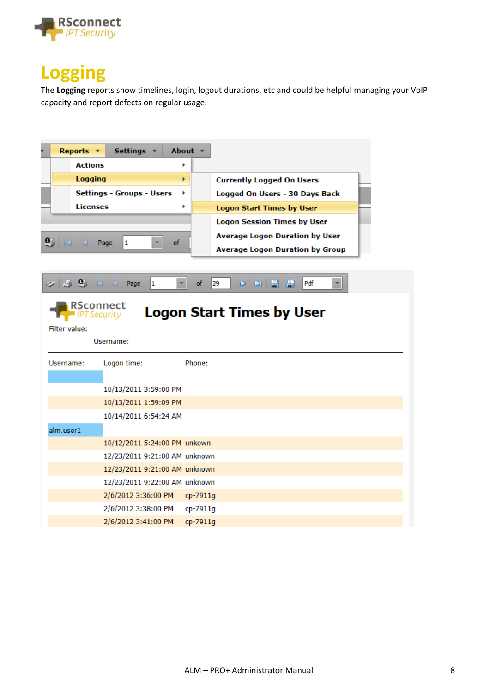

# <span id="page-7-0"></span>**Logging**

The **Logging** reports show timelines, login, logout durations, etc and could be helpful managing your VoIP capacity and report defects on regular usage.

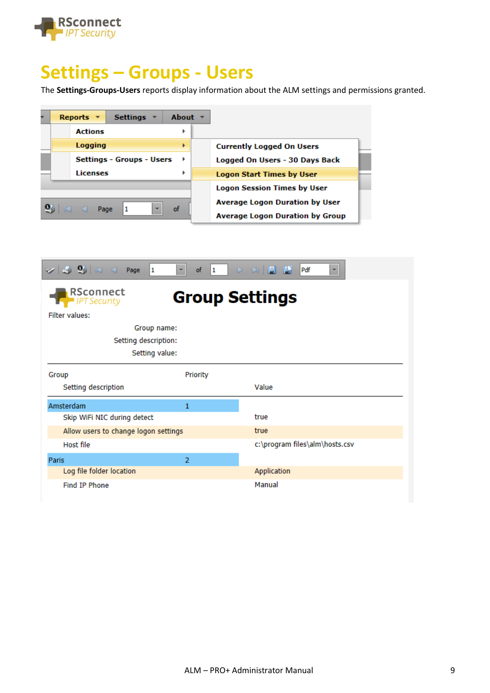

# <span id="page-8-0"></span>**Settings – Groups - Users**

The **Settings-Groups-Users** reports display information about the ALM settings and permissions granted.

| Reports $\overline{ }$<br><b>Settings</b> | About $\overline{z}$ |                                        |
|-------------------------------------------|----------------------|----------------------------------------|
| <b>Actions</b>                            | Þ                    |                                        |
| Logging                                   | ▶                    | <b>Currently Logged On Users</b>       |
| <b>Settings - Groups - Users</b>          |                      | Logged On Users - 30 Days Back         |
| Licenses                                  |                      | <b>Logon Start Times by User</b>       |
|                                           |                      | <b>Logon Session Times by User</b>     |
| $\overline{\phantom{a}}$                  | of                   | <b>Average Logon Duration by User</b>  |
| Page<br>$\Box$                            |                      | <b>Average Logon Duration by Group</b> |

| 1<br>$\overline{\mathbf{v}}$             | of<br>$\vert 1 \vert$ | D D   B   B<br>Pdf<br>$\overline{\mathbf{v}}$ |
|------------------------------------------|-----------------------|-----------------------------------------------|
| RSconnect<br>$\blacksquare$ IPT Security | <b>Group Settings</b> |                                               |
| <b>Filter values:</b>                    |                       |                                               |
| Group name:                              |                       |                                               |
| Setting description:                     |                       |                                               |
| Setting value:                           |                       |                                               |
| Group                                    | Priority              |                                               |
| Setting description                      |                       | Value                                         |
| Amsterdam                                | 1                     |                                               |
| Skip WiFi NIC during detect              |                       | true                                          |
| Allow users to change logon settings     |                       | true                                          |
| Host file                                |                       | c:\program files\alm\hosts.csv                |
| Paris                                    | $\overline{2}$        |                                               |
| Log file folder location                 |                       | Application                                   |
| Find IP Phone                            |                       | Manual                                        |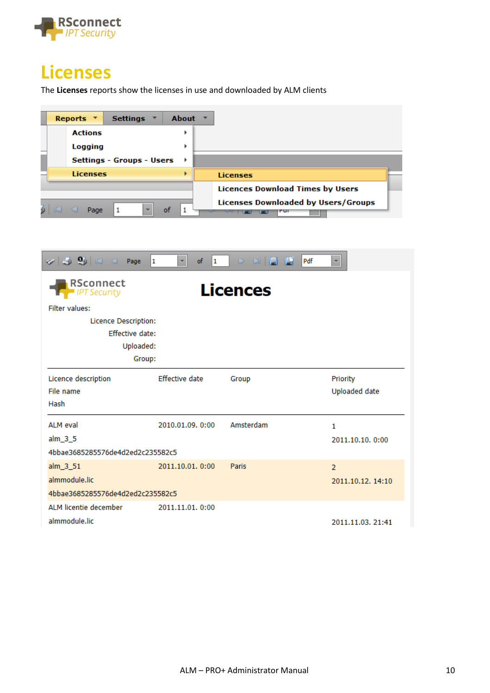

#### <span id="page-9-0"></span>**Licenses**

The **Licenses** reports show the licenses in use and downloaded by ALM clients



| $\mathcal{O}$ $\mathcal{O}$ $\mathcal{O}$ $\mathcal{O}$ $\mathcal{O}$ $\mathcal{O}$ $\mathcal{O}$ $\mathcal{O}$ $\mathcal{O}$ $\mathcal{O}$ $\mathcal{O}$ $\mathcal{O}$ $\mathcal{O}$ $\mathcal{O}$ $\mathcal{O}$ $\mathcal{O}$ $\mathcal{O}$ $\mathcal{O}$ $\mathcal{O}$ $\mathcal{O}$ $\mathcal{O}$ $\mathcal{O}$ $\mathcal{O}$ $\mathcal{O}$ $\mathcal{$ | 1<br>of<br>$\overline{\mathbf{v}}$<br>1 | D D   B   B<br>Pdf | $\overline{\mathbf{v}}$ |
|-------------------------------------------------------------------------------------------------------------------------------------------------------------------------------------------------------------------------------------------------------------------------------------------------------------------------------------------------------------|-----------------------------------------|--------------------|-------------------------|
| RSconnect<br><b>IPT Security</b>                                                                                                                                                                                                                                                                                                                            |                                         | Licences           |                         |
| <b>Filter values:</b>                                                                                                                                                                                                                                                                                                                                       |                                         |                    |                         |
| Licence Description:                                                                                                                                                                                                                                                                                                                                        |                                         |                    |                         |
| <b>Effective date:</b>                                                                                                                                                                                                                                                                                                                                      |                                         |                    |                         |
| Uploaded:                                                                                                                                                                                                                                                                                                                                                   |                                         |                    |                         |
| Group:                                                                                                                                                                                                                                                                                                                                                      |                                         |                    |                         |
| Licence description                                                                                                                                                                                                                                                                                                                                         | <b>Effective date</b>                   | Group              | Priority                |
| File name                                                                                                                                                                                                                                                                                                                                                   |                                         |                    | Uploaded date           |
| Hash                                                                                                                                                                                                                                                                                                                                                        |                                         |                    |                         |
| ALM eval                                                                                                                                                                                                                                                                                                                                                    | 2010.01.09. 0:00                        | Amsterdam          | 1                       |
| $alm_3_5$                                                                                                                                                                                                                                                                                                                                                   |                                         |                    | 2011.10.10. 0:00        |
| 4bbae3685285576de4d2ed2c235582c5                                                                                                                                                                                                                                                                                                                            |                                         |                    |                         |
| alm_3_51                                                                                                                                                                                                                                                                                                                                                    | 2011.10.01. 0:00                        | Paris              | $\overline{2}$          |
| almmodule.lic                                                                                                                                                                                                                                                                                                                                               |                                         |                    | 2011.10.12. 14:10       |
| 4bbae3685285576de4d2ed2c235582c5                                                                                                                                                                                                                                                                                                                            |                                         |                    |                         |
| ALM licentie december                                                                                                                                                                                                                                                                                                                                       | 2011.11.01. 0:00                        |                    |                         |
| almmodule.lic                                                                                                                                                                                                                                                                                                                                               |                                         |                    | 2011.11.03. 21:41       |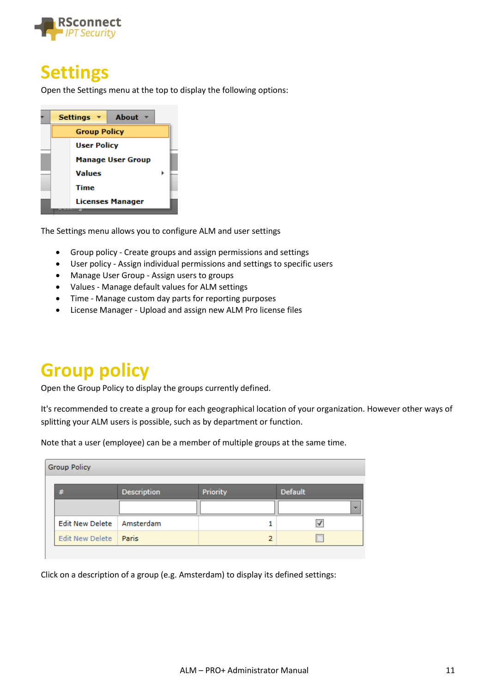

### <span id="page-10-0"></span>**Settings**

Open the Settings menu at the top to display the following options:



The Settings menu allows you to configure ALM and user settings

- Group policy Create groups and assign permissions and settings
- User policy Assign individual permissions and settings to specific users
- Manage User Group Assign users to groups
- Values Manage default values for ALM settings
- Time Manage custom day parts for reporting purposes
- License Manager Upload and assign new ALM Pro license files

### <span id="page-10-1"></span>**Group policy**

Open the Group Policy to display the groups currently defined.

It's recommended to create a group for each geographical location of your organization. However other ways of splitting your ALM users is possible, such as by department or function.

Note that a user (employee) can be a member of multiple groups at the same time.

| <b>Group Policy</b>         |             |          |                |  |  |  |
|-----------------------------|-------------|----------|----------------|--|--|--|
| #                           | Description | Priority | <b>Default</b> |  |  |  |
|                             |             |          | ÷              |  |  |  |
| Edit New Delete   Amsterdam |             |          |                |  |  |  |
| Edit New Delete   Paris     |             | 2        |                |  |  |  |
|                             |             |          |                |  |  |  |

Click on a description of a group (e.g. Amsterdam) to display its defined settings: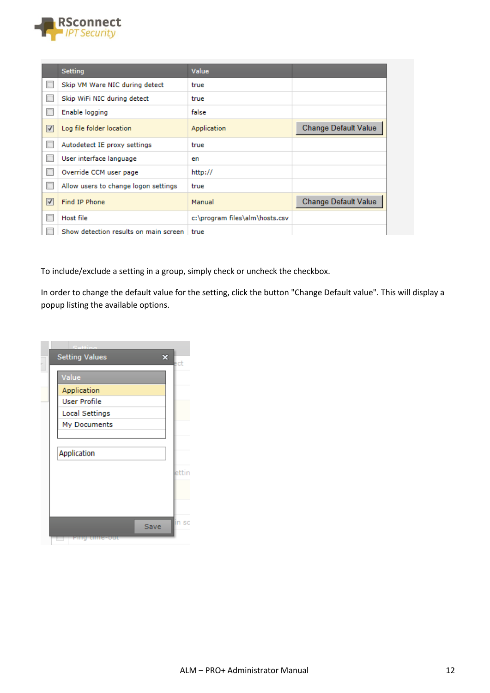

|                         | Setting                                      | Value                          |                             |
|-------------------------|----------------------------------------------|--------------------------------|-----------------------------|
|                         | Skip VM Ware NIC during detect               | true                           |                             |
| П                       | Skip WiFi NIC during detect                  | true                           |                             |
|                         | Enable logging                               | false                          |                             |
| $\overline{\mathbf{v}}$ | Log file folder location                     | Application                    | <b>Change Default Value</b> |
| П                       | Autodetect IE proxy settings                 | true                           |                             |
|                         | User interface language                      | en                             |                             |
| П                       | Override CCM user page                       | http://                        |                             |
| $\Box$                  | Allow users to change logon settings         | true                           |                             |
| $\overline{\mathbf{v}}$ | Find IP Phone                                | Manual                         | <b>Change Default Value</b> |
| П                       | Host file                                    | c:\program files\alm\hosts.csv |                             |
|                         | Show detection results on main screen I true |                                |                             |

To include/exclude a setting in a group, simply check or uncheck the checkbox.

In order to change the default value for the setting, click the button "Change Default value". This will display a popup listing the available options.

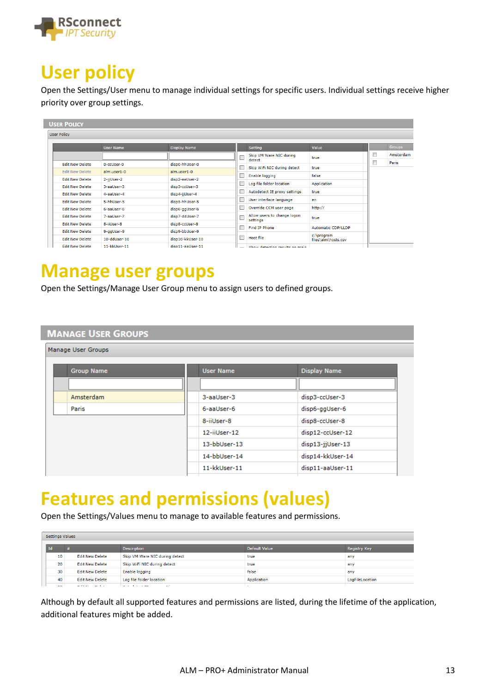

#### <span id="page-12-0"></span>**User policy**

Open the Settings/User menu to manage individual settings for specific users. Individual settings receive higher priority over group settings.

| <b>User Policy</b>     |                  |                     |   |                                         |                                   |  |               |
|------------------------|------------------|---------------------|---|-----------------------------------------|-----------------------------------|--|---------------|
|                        | <b>User Name</b> | <b>Display Name</b> |   | <b>Setting</b>                          | Value                             |  | <b>Groups</b> |
|                        |                  |                     |   | Skip VM Ware NIC during                 | true                              |  | Amsterdam     |
| <b>Edit New Delete</b> | 0-ccUser-0       | disp0-hhUser-0      |   | detect                                  |                                   |  | Paris         |
| <b>Edit New Delete</b> | alm.user1-0      | alm.user1-0         |   | Skip WiFi NIC during detect             | true                              |  |               |
| <b>Edit New Delete</b> | 2-jjUser-2       | disp2-eeUser-2      |   | Enable logging                          | false                             |  |               |
|                        |                  |                     |   | Log file folder location                | Application                       |  |               |
| <b>Edit New Delete</b> | 3-aalJser-3      | disp3-ccUser-3      |   | Autodetect IE proxy settings            | true                              |  |               |
| <b>Edit New Delete</b> | 4-aaUser-4       | disp4-jjUser-4      |   |                                         |                                   |  |               |
| <b>Edit New Delete</b> | 5-hhUser-5       | disp5-hhUser-5      |   | User interface language                 | en                                |  |               |
| <b>Edit New Delete</b> | 6-aallser-6      | disp6-ggUser-6      |   | Override CCM user page                  | http://                           |  |               |
| <b>Edit New Delete</b> | 7-aalJser-7      | disp7-ddUser-7      |   | Allow users to change logon<br>settings | true                              |  |               |
| <b>Edit New Delete</b> | 8-iiUser-8       | disp8-ccUser-8      |   |                                         |                                   |  |               |
| <b>Edit New Delete</b> | 9-ggUser-9       | disp9-bbUser-9      |   | Find IP Phone                           | <b>Automatic CDP/LLDP</b>         |  |               |
| <b>Edit New Delete</b> | 10-ddUser-10     | disp10-kkUser-10    | П | Host file                               | c:\program<br>files\alm\hosts.csv |  |               |
| <b>Edit New Delete</b> | 11-kkUser-11     | disp11-aalJser-11   |   | Chow detection couldn on main.          |                                   |  |               |

#### <span id="page-12-1"></span>**Manage user groups**

Open the Settings/Manage User Group menu to assign users to defined groups.

#### **MANAGE USER GROUPS**

| Manage User Groups |                  |                     |
|--------------------|------------------|---------------------|
| <b>Group Name</b>  | <b>User Name</b> | <b>Display Name</b> |
|                    |                  |                     |
| Amsterdam          | 3-aaUser-3       | disp3-ccUser-3      |
| Paris              | 6-aaUser-6       | disp6-ggUser-6      |
|                    | 8-iiUser-8       | disp8-ccUser-8      |
|                    | 12-iiUser-12     | disp12-ccUser-12    |
|                    | 13-bbUser-13     | disp13-jjUser-13    |
|                    | 14-bbUser-14     | disp14-kkUser-14    |
|                    | 11-kkUser-11     | disp11-aaUser-11    |
|                    |                  |                     |

# <span id="page-12-2"></span>**Features and permissions (values)**

Open the Settings/Values menu to manage to available features and permissions.

|        | Settings Values                                            |                                            |             |                 |  |  |  |  |
|--------|------------------------------------------------------------|--------------------------------------------|-------------|-----------------|--|--|--|--|
| Id     | <b>Description</b><br>Default Value<br><b>Registry Key</b> |                                            |             |                 |  |  |  |  |
| 10     | <b>Edit New Delete</b>                                     | Skip VM Ware NIC during detect             | true        | any             |  |  |  |  |
| 20     | <b>Edit New Delete</b>                                     | Skip WiFi NIC during detect                | true        | any             |  |  |  |  |
| 30     | <b>Edit New Delete</b>                                     | Enable logging                             | false       | any             |  |  |  |  |
| 40     | <b>Edit New Delete</b>                                     | Log file folder location                   | Application | LogFileLocation |  |  |  |  |
| $\sim$ | <b>CONTRACTOR</b><br><b>COLLA</b>                          | $\sim 10^{-1}$<br><b>CALL AND A REPORT</b> |             |                 |  |  |  |  |

Although by default all supported features and permissions are listed, during the lifetime of the application, additional features might be added.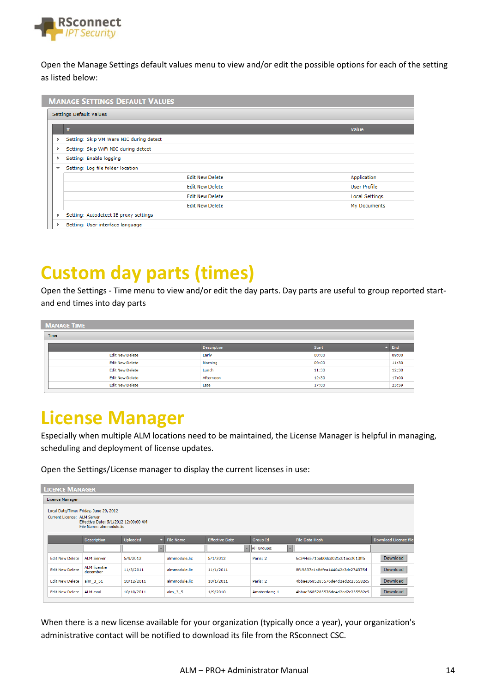

Open the Manage Settings default values menu to view and/or edit the possible options for each of the setting as listed below:

|              | Settings Default Values                 |                       |  |  |  |
|--------------|-----------------------------------------|-----------------------|--|--|--|
|              | #                                       | Value                 |  |  |  |
| >            | Setting: Skip VM Ware NIC during detect |                       |  |  |  |
| >            | Setting: Skip WiFi NIC during detect    |                       |  |  |  |
| >            | Setting: Enable logging                 |                       |  |  |  |
| $\checkmark$ | Setting: Log file folder location       |                       |  |  |  |
|              | <b>Edit New Delete</b>                  | Application           |  |  |  |
|              | <b>Edit New Delete</b>                  | <b>User Profile</b>   |  |  |  |
|              | <b>Edit New Delete</b>                  | <b>Local Settings</b> |  |  |  |
|              | <b>Edit New Delete</b>                  | My Documents          |  |  |  |
| >            | Setting: Autodetect IE proxy settings   |                       |  |  |  |

# <span id="page-13-0"></span>**Custom day parts (times)**

Open the Settings - Time menu to view and/or edit the day parts. Day parts are useful to group reported startand end times into day parts

| <b>MANAGE TIME</b>     |                    |              |            |  |  |  |  |
|------------------------|--------------------|--------------|------------|--|--|--|--|
| Time                   |                    |              |            |  |  |  |  |
|                        | <b>Description</b> | <b>Start</b> | $\sim$ End |  |  |  |  |
| <b>Edit New Delete</b> | Early              | 00:00        | 09:00      |  |  |  |  |
| <b>Edit New Delete</b> | Morning            | 09:00        | 11:30      |  |  |  |  |
| <b>Edit New Delete</b> | Lunch              | 11:30        | 12:30      |  |  |  |  |
| <b>Edit New Delete</b> | Afternoon          | 12:30        | 17:00      |  |  |  |  |
| <b>Edit New Delete</b> | Late               | 17:00        | 23:59      |  |  |  |  |

#### <span id="page-13-1"></span>**License Manager**

Especially when multiple ALM locations need to be maintained, the License Manager is helpful in managing, scheduling and deployment of license updates.

Open the Settings/License manager to display the current licenses in use:

| <b>LICENCE MANAGER</b> |                                                                                                 |                 |                  |                       |                                        |                                  |                              |
|------------------------|-------------------------------------------------------------------------------------------------|-----------------|------------------|-----------------------|----------------------------------------|----------------------------------|------------------------------|
| Licence Manager        |                                                                                                 |                 |                  |                       |                                        |                                  |                              |
|                        | Local Date/Time: Friday, June 29, 2012                                                          |                 |                  |                       |                                        |                                  |                              |
|                        | Current Licence: ALM Server<br>Effective Date: 5/1/2012 12:00:00 AM<br>File Name: almmodule.lic |                 |                  |                       |                                        |                                  |                              |
|                        | <b>Description</b>                                                                              | <b>Uploaded</b> | <b>File Name</b> | <b>Effective Date</b> | Group Id                               | <b>File Data Hash</b>            | <b>Download Licence file</b> |
|                        |                                                                                                 |                 |                  | $\mathbf{v}$          | All Groups;<br>$\overline{\mathbf{v}}$ |                                  |                              |
| <b>Edit New Delete</b> | <b>ALM Server</b>                                                                               | 5/9/2012        | almmodule.lic    | 5/1/2012              | Paris: 2                               | 6c244e571bab0dcd021c01accf013ff5 | <b>Download</b>              |
| <b>Edit New Delete</b> | <b>ALM</b> licentie<br>december                                                                 | 11/3/2011       | almmodule.lic    | 11/1/2011             |                                        | 8f19837c1a8dfea144042c3dc274375d | <b>Download</b>              |
| <b>Edit New Delete</b> | alm 3 51                                                                                        | 10/12/2011      | almmodule.lic    | 10/1/2011             | Paris; 2                               | 4bbae3685285576de4d2ed2c235582c5 | Download                     |
| <b>Edit New Delete</b> | ALM eval                                                                                        | 10/10/2011      | alm_3_5          | 1/9/2010              | Amsterdam: 1                           | 4bbae3685285576de4d2ed2c235582c5 | <b>Download</b>              |

When there is a new license available for your organization (typically once a year), your organization's administrative contact will be notified to download its file from the RSconnect CSC.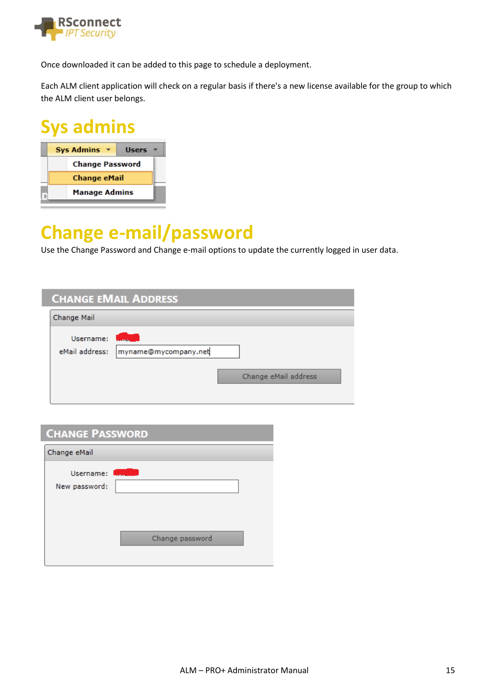

Once downloaded it can be added to this page to schedule a deployment.

Each ALM client application will check on a regular basis if there's a new license available for the group to which the ALM client user belongs.

### <span id="page-14-0"></span>**Sys admins**

I

| <b>Sys Admins</b>      | <b>Users</b> |  |
|------------------------|--------------|--|
| <b>Change Password</b> |              |  |
| <b>Change eMail</b>    |              |  |
| <b>Manage Admins</b>   |              |  |

# <span id="page-14-1"></span>**Change e-mail/password**

Use the Change Password and Change e-mail options to update the currently logged in user data.

| <b>CHANGE EMAIL ADDRESS</b> |                      |                      |  |  |
|-----------------------------|----------------------|----------------------|--|--|
| Change Mail                 |                      |                      |  |  |
| Username:<br>eMail address: | myname@mycompany.net | Change eMail address |  |  |

| <b>CHANGE PASSWORD</b>       |                 |  |
|------------------------------|-----------------|--|
| Change eMail                 |                 |  |
| Username: I<br>New password: |                 |  |
|                              | Change password |  |
|                              |                 |  |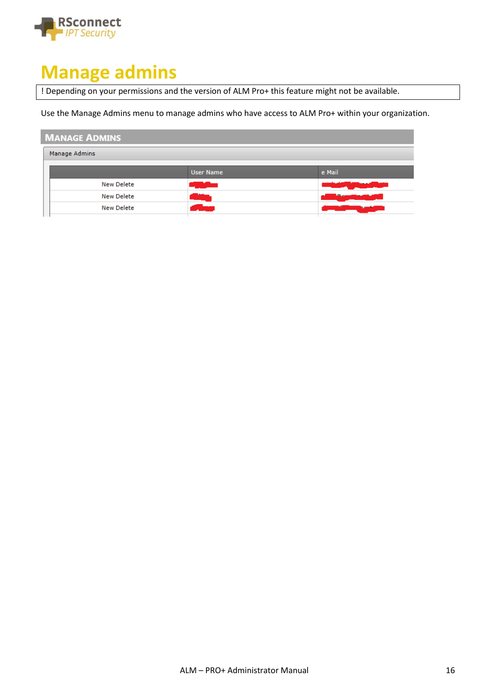

#### <span id="page-15-0"></span>**Manage admins**

! Depending on your permissions and the version of ALM Pro+ this feature might not be available.

Use the Manage Admins menu to manage admins who have access to ALM Pro+ within your organization.

#### **MANAGE ADMINS**

| Manage Admins |                   |                  |             |
|---------------|-------------------|------------------|-------------|
|               |                   | <b>User Name</b> | e Mail      |
|               | <b>New Delete</b> |                  |             |
|               | <b>New Delete</b> |                  | <b>SALE</b> |
|               | <b>New Delete</b> |                  |             |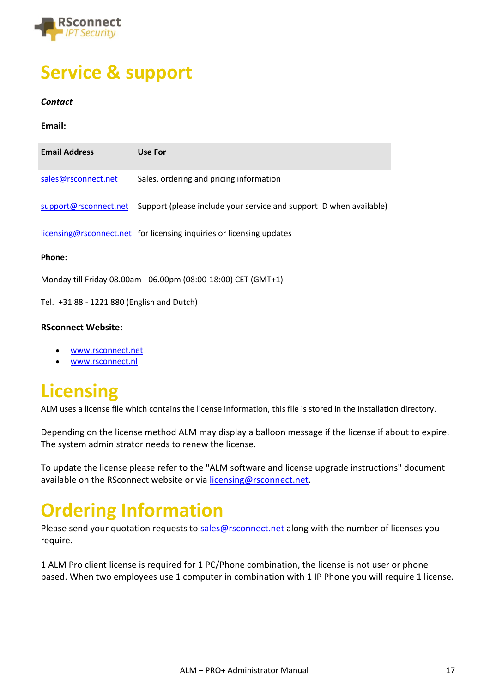

# <span id="page-16-0"></span>**Service & support**

#### *Contact*

**Email:**

| <b>Email Address</b>                                           | Use For                                                                                   |  |  |  |
|----------------------------------------------------------------|-------------------------------------------------------------------------------------------|--|--|--|
| sales@rsconnect.net                                            | Sales, ordering and pricing information                                                   |  |  |  |
|                                                                | support@rsconnect.net Support (please include your service and support ID when available) |  |  |  |
|                                                                | licensing@rsconnect.net for licensing inquiries or licensing updates                      |  |  |  |
| Phone:                                                         |                                                                                           |  |  |  |
| Monday till Friday 08.00am - 06.00pm (08:00-18:00) CET (GMT+1) |                                                                                           |  |  |  |

Tel. +31 88 - 1221 880 (English and Dutch)

#### **RSconnect Website:**

- [www.rsconnect.net](http://www.rsconnect.net/)
- [www.rsconnect.nl](http://www.rsconnect.nl/)

# <span id="page-16-1"></span>**Licensing**

ALM uses a license file which contains the license information, this file is stored in the installation directory.

Depending on the license method ALM may display a balloon message if the license if about to expire. The system administrator needs to renew the license.

To update the license please refer to the "ALM software and license upgrade instructions" document available on the RSconnect website or via [licensing@rsconnect.net.](mailto:licensing@rsconnect.net)

# <span id="page-16-2"></span>**Ordering Information**

Please send your quotation requests to sales@rsconnect.net along with the number of licenses you require.

1 ALM Pro client license is required for 1 PC/Phone combination, the license is not user or phone based. When two employees use 1 computer in combination with 1 IP Phone you will require 1 license.